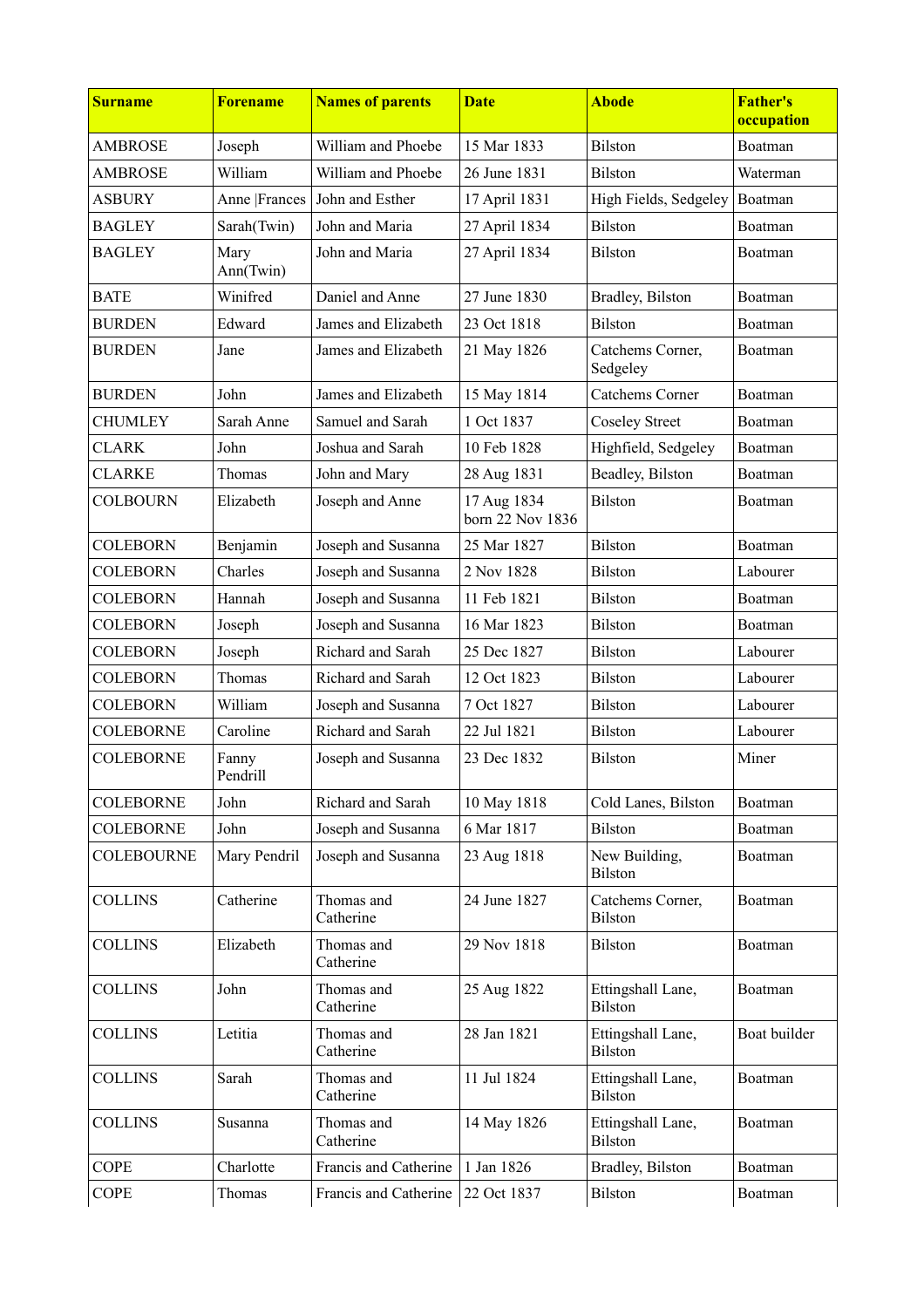| <b>Surname</b>    | <b>Forename</b>   | <b>Names of parents</b> | <b>Date</b>                     | <b>Abode</b>                        | <b>Father's</b><br>occupation |
|-------------------|-------------------|-------------------------|---------------------------------|-------------------------------------|-------------------------------|
| <b>AMBROSE</b>    | Joseph            | William and Phoebe      | 15 Mar 1833                     | <b>Bilston</b>                      | Boatman                       |
| <b>AMBROSE</b>    | William           | William and Phoebe      | 26 June 1831                    | <b>Bilston</b>                      | Waterman                      |
| <b>ASBURY</b>     | Anne   Frances    | John and Esther         | 17 April 1831                   | High Fields, Sedgeley               | Boatman                       |
| <b>BAGLEY</b>     | Sarah(Twin)       | John and Maria          | 27 April 1834                   | <b>Bilston</b>                      | Boatman                       |
| <b>BAGLEY</b>     | Mary<br>Ann(Twin) | John and Maria          | 27 April 1834                   | <b>Bilston</b>                      | Boatman                       |
| <b>BATE</b>       | Winifred          | Daniel and Anne         | 27 June 1830                    | Bradley, Bilston                    | Boatman                       |
| <b>BURDEN</b>     | Edward            | James and Elizabeth     | 23 Oct 1818                     | <b>Bilston</b>                      | Boatman                       |
| <b>BURDEN</b>     | Jane              | James and Elizabeth     | 21 May 1826                     | Catchems Corner,<br>Sedgeley        | Boatman                       |
| <b>BURDEN</b>     | John              | James and Elizabeth     | 15 May 1814                     | <b>Catchems Corner</b>              | Boatman                       |
| <b>CHUMLEY</b>    | Sarah Anne        | Samuel and Sarah        | 1 Oct 1837                      | <b>Coseley Street</b>               | Boatman                       |
| <b>CLARK</b>      | John              | Joshua and Sarah        | 10 Feb 1828                     | Highfield, Sedgeley                 | Boatman                       |
| <b>CLARKE</b>     | Thomas            | John and Mary           | 28 Aug 1831                     | Beadley, Bilston                    | Boatman                       |
| <b>COLBOURN</b>   | Elizabeth         | Joseph and Anne         | 17 Aug 1834<br>born 22 Nov 1836 | <b>Bilston</b>                      | Boatman                       |
| <b>COLEBORN</b>   | Benjamin          | Joseph and Susanna      | 25 Mar 1827                     | <b>Bilston</b>                      | Boatman                       |
| <b>COLEBORN</b>   | Charles           | Joseph and Susanna      | 2 Nov 1828                      | <b>Bilston</b>                      | Labourer                      |
| <b>COLEBORN</b>   | Hannah            | Joseph and Susanna      | 11 Feb 1821                     | <b>Bilston</b>                      | Boatman                       |
| <b>COLEBORN</b>   | Joseph            | Joseph and Susanna      | 16 Mar 1823                     | <b>Bilston</b>                      | Boatman                       |
| <b>COLEBORN</b>   | Joseph            | Richard and Sarah       | 25 Dec 1827                     | <b>Bilston</b>                      | Labourer                      |
| <b>COLEBORN</b>   | Thomas            | Richard and Sarah       | 12 Oct 1823                     | <b>Bilston</b>                      | Labourer                      |
| <b>COLEBORN</b>   | William           | Joseph and Susanna      | 7 Oct 1827                      | <b>Bilston</b>                      | Labourer                      |
| <b>COLEBORNE</b>  | Caroline          | Richard and Sarah       | 22 Jul 1821                     | <b>Bilston</b>                      | Labourer                      |
| <b>COLEBORNE</b>  | Fanny<br>Pendrill | Joseph and Susanna      | 23 Dec 1832                     | <b>Bilston</b>                      | Miner                         |
| <b>COLEBORNE</b>  | John              | Richard and Sarah       | 10 May 1818                     | Cold Lanes, Bilston                 | Boatman                       |
| <b>COLEBORNE</b>  | John              | Joseph and Susanna      | 6 Mar 1817                      | <b>Bilston</b>                      | Boatman                       |
| <b>COLEBOURNE</b> | Mary Pendril      | Joseph and Susanna      | 23 Aug 1818                     | New Building,<br>Bilston            | Boatman                       |
| <b>COLLINS</b>    | Catherine         | Thomas and<br>Catherine | 24 June 1827                    | Catchems Corner,<br><b>Bilston</b>  | Boatman                       |
| <b>COLLINS</b>    | Elizabeth         | Thomas and<br>Catherine | 29 Nov 1818                     | <b>Bilston</b>                      | Boatman                       |
| <b>COLLINS</b>    | John              | Thomas and<br>Catherine | 25 Aug 1822                     | Ettingshall Lane,<br><b>Bilston</b> | Boatman                       |
| <b>COLLINS</b>    | Letitia           | Thomas and<br>Catherine | 28 Jan 1821                     | Ettingshall Lane,<br><b>Bilston</b> | Boat builder                  |
| <b>COLLINS</b>    | Sarah             | Thomas and<br>Catherine | 11 Jul 1824                     | Ettingshall Lane,<br><b>Bilston</b> | Boatman                       |
| <b>COLLINS</b>    | Susanna           | Thomas and<br>Catherine | 14 May 1826                     | Ettingshall Lane,<br><b>Bilston</b> | Boatman                       |
| <b>COPE</b>       | Charlotte         | Francis and Catherine   | 1 Jan 1826                      | Bradley, Bilston                    | Boatman                       |
| <b>COPE</b>       | Thomas            | Francis and Catherine   | 22 Oct 1837                     | <b>Bilston</b>                      | Boatman                       |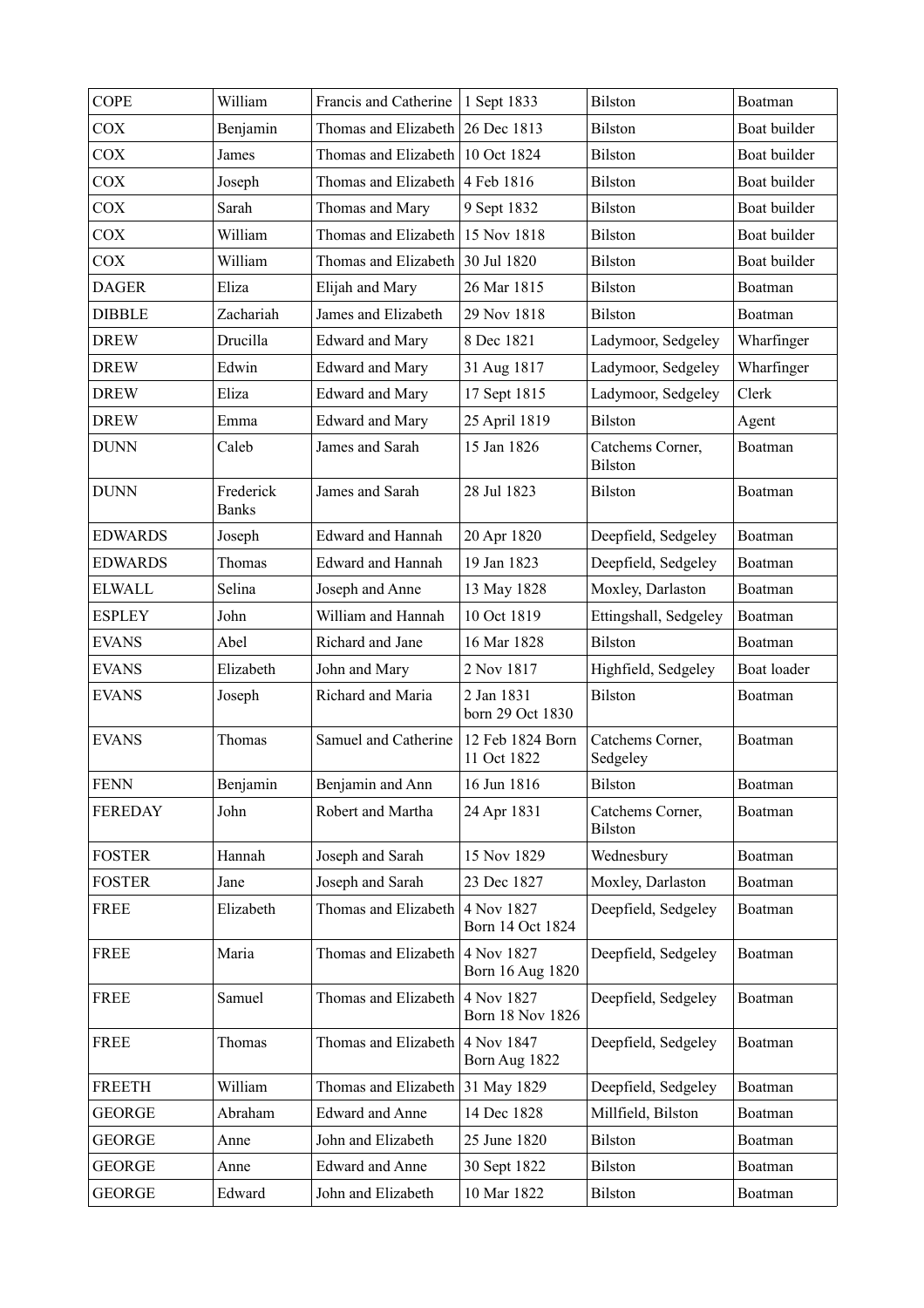| <b>COPE</b>    | William                   | Francis and Catherine    | 1 Sept 1833                     | Bilston                            | Boatman      |
|----------------|---------------------------|--------------------------|---------------------------------|------------------------------------|--------------|
| <b>COX</b>     | Benjamin                  | Thomas and Elizabeth     | 26 Dec 1813                     | <b>Bilston</b>                     | Boat builder |
| <b>COX</b>     | James                     | Thomas and Elizabeth     | 10 Oct 1824                     | <b>Bilston</b>                     | Boat builder |
| <b>COX</b>     | Joseph                    | Thomas and Elizabeth     | 4 Feb 1816                      | <b>Bilston</b>                     | Boat builder |
| <b>COX</b>     | Sarah                     | Thomas and Mary          | 9 Sept 1832                     | <b>Bilston</b>                     | Boat builder |
| <b>COX</b>     | William                   | Thomas and Elizabeth     | 15 Nov 1818                     | <b>Bilston</b>                     | Boat builder |
| <b>COX</b>     | William                   | Thomas and Elizabeth     | 30 Jul 1820                     | <b>Bilston</b>                     | Boat builder |
| <b>DAGER</b>   | Eliza                     | Elijah and Mary          | 26 Mar 1815                     | <b>Bilston</b>                     | Boatman      |
| <b>DIBBLE</b>  | Zachariah                 | James and Elizabeth      | 29 Nov 1818                     | <b>Bilston</b>                     | Boatman      |
| <b>DREW</b>    | Drucilla                  | <b>Edward</b> and Mary   | 8 Dec 1821                      | Ladymoor, Sedgeley                 | Wharfinger   |
| <b>DREW</b>    | Edwin                     | <b>Edward and Mary</b>   | 31 Aug 1817                     | Ladymoor, Sedgeley                 | Wharfinger   |
| <b>DREW</b>    | Eliza                     | <b>Edward and Mary</b>   | 17 Sept 1815                    | Ladymoor, Sedgeley                 | Clerk        |
| <b>DREW</b>    | Emma                      | <b>Edward</b> and Mary   | 25 April 1819                   | <b>Bilston</b>                     | Agent        |
| <b>DUNN</b>    | Caleb                     | James and Sarah          | 15 Jan 1826                     | Catchems Corner,<br><b>Bilston</b> | Boatman      |
| <b>DUNN</b>    | Frederick<br><b>Banks</b> | James and Sarah          | 28 Jul 1823                     | <b>Bilston</b>                     | Boatman      |
| <b>EDWARDS</b> | Joseph                    | <b>Edward and Hannah</b> | 20 Apr 1820                     | Deepfield, Sedgeley                | Boatman      |
| <b>EDWARDS</b> | Thomas                    | <b>Edward and Hannah</b> | 19 Jan 1823                     | Deepfield, Sedgeley                | Boatman      |
| <b>ELWALL</b>  | Selina                    | Joseph and Anne          | 13 May 1828                     | Moxley, Darlaston                  | Boatman      |
| <b>ESPLEY</b>  | John                      | William and Hannah       | 10 Oct 1819                     | Ettingshall, Sedgeley              | Boatman      |
| <b>EVANS</b>   | Abel                      | Richard and Jane         | 16 Mar 1828                     | Bilston                            | Boatman      |
| <b>EVANS</b>   | Elizabeth                 | John and Mary            | 2 Nov 1817                      | Highfield, Sedgeley                | Boat loader  |
| <b>EVANS</b>   | Joseph                    | Richard and Maria        | 2 Jan 1831<br>born 29 Oct 1830  | <b>Bilston</b>                     | Boatman      |
| <b>EVANS</b>   | Thomas                    | Samuel and Catherine     | 12 Feb 1824 Born<br>11 Oct 1822 | Catchems Corner,<br>Sedgeley       | Boatman      |
| <b>FENN</b>    | Benjamin                  | Benjamin and Ann         | 16 Jun 1816                     | Bilston                            | Boatman      |
| <b>FEREDAY</b> | John                      | Robert and Martha        | 24 Apr 1831                     | Catchems Corner,<br><b>Bilston</b> | Boatman      |
| <b>FOSTER</b>  | Hannah                    | Joseph and Sarah         | 15 Nov 1829                     | Wednesbury                         | Boatman      |
| <b>FOSTER</b>  | Jane                      | Joseph and Sarah         | 23 Dec 1827                     | Moxley, Darlaston                  | Boatman      |
| <b>FREE</b>    | Elizabeth                 | Thomas and Elizabeth     | 4 Nov 1827<br>Born 14 Oct 1824  | Deepfield, Sedgeley                | Boatman      |
| <b>FREE</b>    | Maria                     | Thomas and Elizabeth     | 4 Nov 1827<br>Born 16 Aug 1820  | Deepfield, Sedgeley                | Boatman      |
| <b>FREE</b>    | Samuel                    | Thomas and Elizabeth     | 4 Nov 1827<br>Born 18 Nov 1826  | Deepfield, Sedgeley                | Boatman      |
| <b>FREE</b>    | Thomas                    | Thomas and Elizabeth     | 4 Nov 1847<br>Born Aug 1822     | Deepfield, Sedgeley                | Boatman      |
| <b>FREETH</b>  | William                   | Thomas and Elizabeth     | 31 May 1829                     | Deepfield, Sedgeley                | Boatman      |
| <b>GEORGE</b>  | Abraham                   | <b>Edward and Anne</b>   | 14 Dec 1828                     | Millfield, Bilston                 | Boatman      |
| <b>GEORGE</b>  | Anne                      | John and Elizabeth       | 25 June 1820                    | <b>Bilston</b>                     | Boatman      |
| <b>GEORGE</b>  | Anne                      | <b>Edward and Anne</b>   | 30 Sept 1822                    | <b>Bilston</b>                     | Boatman      |
| <b>GEORGE</b>  | Edward                    | John and Elizabeth       | 10 Mar 1822                     | <b>Bilston</b>                     | Boatman      |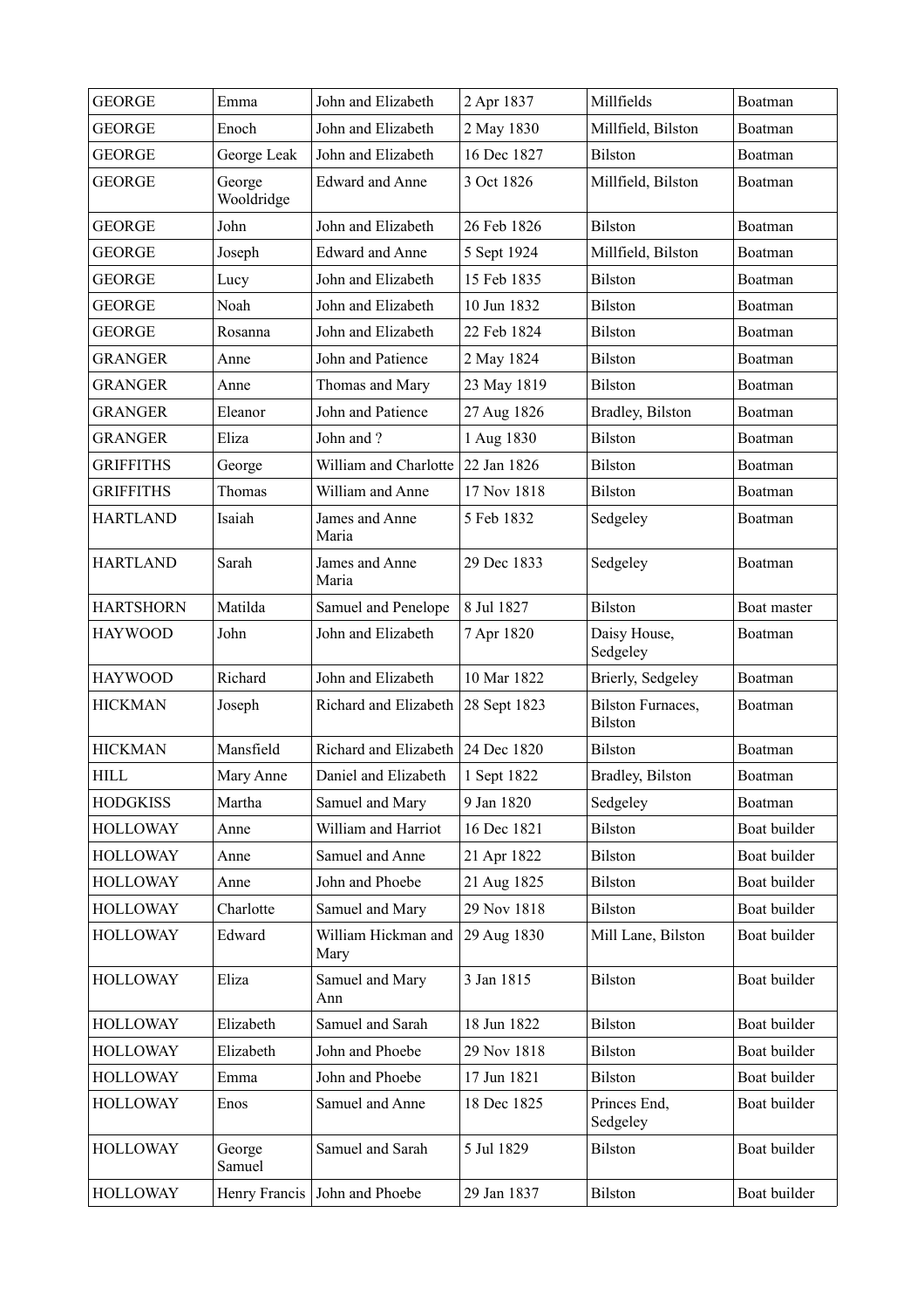| <b>GEORGE</b>    | Emma                 | John and Elizabeth                | 2 Apr 1837   | Millfields                                 | Boatman      |
|------------------|----------------------|-----------------------------------|--------------|--------------------------------------------|--------------|
| <b>GEORGE</b>    | Enoch                | John and Elizabeth                | 2 May 1830   | Millfield, Bilston                         | Boatman      |
| <b>GEORGE</b>    | George Leak          | John and Elizabeth                | 16 Dec 1827  | <b>Bilston</b>                             | Boatman      |
| <b>GEORGE</b>    | George<br>Wooldridge | <b>Edward and Anne</b>            | 3 Oct 1826   | Millfield, Bilston                         | Boatman      |
| <b>GEORGE</b>    | John                 | John and Elizabeth                | 26 Feb 1826  | <b>Bilston</b>                             | Boatman      |
| <b>GEORGE</b>    | Joseph               | <b>Edward and Anne</b>            | 5 Sept 1924  | Millfield, Bilston                         | Boatman      |
| <b>GEORGE</b>    | Lucy                 | John and Elizabeth                | 15 Feb 1835  | <b>Bilston</b>                             | Boatman      |
| <b>GEORGE</b>    | Noah                 | John and Elizabeth                | 10 Jun 1832  | <b>Bilston</b>                             | Boatman      |
| <b>GEORGE</b>    | Rosanna              | John and Elizabeth                | 22 Feb 1824  | <b>Bilston</b>                             | Boatman      |
| <b>GRANGER</b>   | Anne                 | John and Patience                 | 2 May 1824   | <b>Bilston</b>                             | Boatman      |
| <b>GRANGER</b>   | Anne                 | Thomas and Mary                   | 23 May 1819  | <b>Bilston</b>                             | Boatman      |
| <b>GRANGER</b>   | Eleanor              | John and Patience                 | 27 Aug 1826  | Bradley, Bilston                           | Boatman      |
| <b>GRANGER</b>   | Eliza                | John and ?                        | 1 Aug 1830   | <b>Bilston</b>                             | Boatman      |
| <b>GRIFFITHS</b> | George               | William and Charlotte             | 22 Jan 1826  | <b>Bilston</b>                             | Boatman      |
| <b>GRIFFITHS</b> | Thomas               | William and Anne                  | 17 Nov 1818  | <b>Bilston</b>                             | Boatman      |
| <b>HARTLAND</b>  | Isaiah               | James and Anne<br>Maria           | 5 Feb 1832   | Sedgeley                                   | Boatman      |
| <b>HARTLAND</b>  | Sarah                | James and Anne<br>Maria           | 29 Dec 1833  | Sedgeley                                   | Boatman      |
| <b>HARTSHORN</b> | Matilda              | Samuel and Penelope               | 8 Jul 1827   | <b>Bilston</b>                             | Boat master  |
| <b>HAYWOOD</b>   | John                 | John and Elizabeth                | 7 Apr 1820   | Daisy House,<br>Sedgeley                   | Boatman      |
| <b>HAYWOOD</b>   | Richard              | John and Elizabeth                | 10 Mar 1822  | Brierly, Sedgeley                          | Boatman      |
| <b>HICKMAN</b>   | Joseph               | Richard and Elizabeth             | 28 Sept 1823 | <b>Bilston Furnaces,</b><br><b>Bilston</b> | Boatman      |
| <b>HICKMAN</b>   | Mansfield            | Richard and Elizabeth 24 Dec 1820 |              | <b>Bilston</b>                             | Boatman      |
| <b>HILL</b>      | Mary Anne            | Daniel and Elizabeth              | 1 Sept 1822  | Bradley, Bilston                           | Boatman      |
| <b>HODGKISS</b>  | Martha               | Samuel and Mary                   | 9 Jan 1820   | Sedgeley                                   | Boatman      |
| <b>HOLLOWAY</b>  | Anne                 | William and Harriot               | 16 Dec 1821  | <b>Bilston</b>                             | Boat builder |
| <b>HOLLOWAY</b>  | Anne                 | Samuel and Anne                   | 21 Apr 1822  | <b>Bilston</b>                             | Boat builder |
| <b>HOLLOWAY</b>  | Anne                 | John and Phoebe                   | 21 Aug 1825  | <b>Bilston</b>                             | Boat builder |
| <b>HOLLOWAY</b>  | Charlotte            | Samuel and Mary                   | 29 Nov 1818  | Bilston                                    | Boat builder |
| <b>HOLLOWAY</b>  | Edward               | William Hickman and<br>Mary       | 29 Aug 1830  | Mill Lane, Bilston                         | Boat builder |
| <b>HOLLOWAY</b>  | Eliza                | Samuel and Mary<br>Ann            | 3 Jan 1815   | Bilston                                    | Boat builder |
| <b>HOLLOWAY</b>  | Elizabeth            | Samuel and Sarah                  | 18 Jun 1822  | <b>Bilston</b>                             | Boat builder |
| <b>HOLLOWAY</b>  | Elizabeth            | John and Phoebe                   | 29 Nov 1818  | <b>Bilston</b>                             | Boat builder |
| <b>HOLLOWAY</b>  | Emma                 | John and Phoebe                   | 17 Jun 1821  | <b>Bilston</b>                             | Boat builder |
| <b>HOLLOWAY</b>  | Enos                 | Samuel and Anne                   | 18 Dec 1825  | Princes End,<br>Sedgeley                   | Boat builder |
| <b>HOLLOWAY</b>  | George<br>Samuel     | Samuel and Sarah                  | 5 Jul 1829   | Bilston                                    | Boat builder |
| <b>HOLLOWAY</b>  |                      | Henry Francis John and Phoebe     | 29 Jan 1837  | Bilston                                    | Boat builder |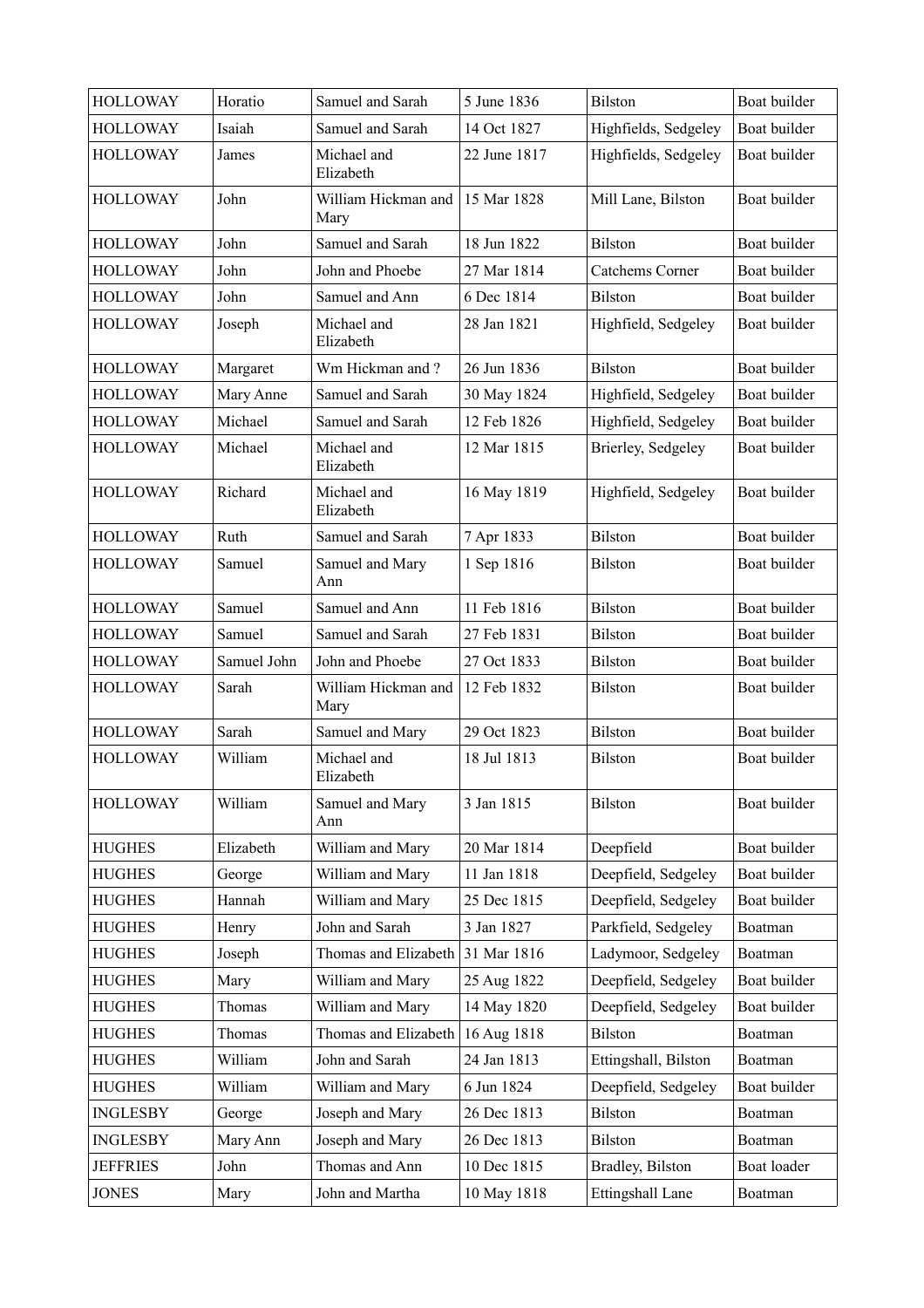| <b>HOLLOWAY</b> | Horatio     | Samuel and Sarah            | 5 June 1836  | Bilston              | Boat builder |
|-----------------|-------------|-----------------------------|--------------|----------------------|--------------|
| <b>HOLLOWAY</b> | Isaiah      | Samuel and Sarah            | 14 Oct 1827  | Highfields, Sedgeley | Boat builder |
| <b>HOLLOWAY</b> | James       | Michael and<br>Elizabeth    | 22 June 1817 | Highfields, Sedgeley | Boat builder |
| <b>HOLLOWAY</b> | John        | William Hickman and<br>Mary | 15 Mar 1828  | Mill Lane, Bilston   | Boat builder |
| <b>HOLLOWAY</b> | John        | Samuel and Sarah            | 18 Jun 1822  | <b>Bilston</b>       | Boat builder |
| <b>HOLLOWAY</b> | John        | John and Phoebe             | 27 Mar 1814  | Catchems Corner      | Boat builder |
| <b>HOLLOWAY</b> | John        | Samuel and Ann              | 6 Dec 1814   | <b>Bilston</b>       | Boat builder |
| <b>HOLLOWAY</b> | Joseph      | Michael and<br>Elizabeth    | 28 Jan 1821  | Highfield, Sedgeley  | Boat builder |
| <b>HOLLOWAY</b> | Margaret    | Wm Hickman and?             | 26 Jun 1836  | <b>Bilston</b>       | Boat builder |
| <b>HOLLOWAY</b> | Mary Anne   | Samuel and Sarah            | 30 May 1824  | Highfield, Sedgeley  | Boat builder |
| <b>HOLLOWAY</b> | Michael     | Samuel and Sarah            | 12 Feb 1826  | Highfield, Sedgeley  | Boat builder |
| <b>HOLLOWAY</b> | Michael     | Michael and<br>Elizabeth    | 12 Mar 1815  | Brierley, Sedgeley   | Boat builder |
| <b>HOLLOWAY</b> | Richard     | Michael and<br>Elizabeth    | 16 May 1819  | Highfield, Sedgeley  | Boat builder |
| <b>HOLLOWAY</b> | Ruth        | Samuel and Sarah            | 7 Apr 1833   | <b>Bilston</b>       | Boat builder |
| <b>HOLLOWAY</b> | Samuel      | Samuel and Mary<br>Ann      | 1 Sep 1816   | <b>Bilston</b>       | Boat builder |
| <b>HOLLOWAY</b> | Samuel      | Samuel and Ann              | 11 Feb 1816  | <b>Bilston</b>       | Boat builder |
| <b>HOLLOWAY</b> | Samuel      | Samuel and Sarah            | 27 Feb 1831  | <b>Bilston</b>       | Boat builder |
| <b>HOLLOWAY</b> | Samuel John | John and Phoebe             | 27 Oct 1833  | <b>Bilston</b>       | Boat builder |
| <b>HOLLOWAY</b> | Sarah       | William Hickman and<br>Mary | 12 Feb 1832  | <b>Bilston</b>       | Boat builder |
| <b>HOLLOWAY</b> | Sarah       | Samuel and Mary             | 29 Oct 1823  | <b>Bilston</b>       | Boat builder |
| <b>HOLLOWAY</b> | William     | Michael and<br>Elizabeth    | 18 Jul 1813  | <b>Bilston</b>       | Boat builder |
| <b>HOLLOWAY</b> | William     | Samuel and Mary<br>Ann      | 3 Jan 1815   | <b>Bilston</b>       | Boat builder |
| <b>HUGHES</b>   | Elizabeth   | William and Mary            | 20 Mar 1814  | Deepfield            | Boat builder |
| <b>HUGHES</b>   | George      | William and Mary            | 11 Jan 1818  | Deepfield, Sedgeley  | Boat builder |
| <b>HUGHES</b>   | Hannah      | William and Mary            | 25 Dec 1815  | Deepfield, Sedgeley  | Boat builder |
| <b>HUGHES</b>   | Henry       | John and Sarah              | 3 Jan 1827   | Parkfield, Sedgeley  | Boatman      |
| <b>HUGHES</b>   | Joseph      | Thomas and Elizabeth        | 31 Mar 1816  | Ladymoor, Sedgeley   | Boatman      |
| <b>HUGHES</b>   | Mary        | William and Mary            | 25 Aug 1822  | Deepfield, Sedgeley  | Boat builder |
| <b>HUGHES</b>   | Thomas      | William and Mary            | 14 May 1820  | Deepfield, Sedgeley  | Boat builder |
| <b>HUGHES</b>   | Thomas      | Thomas and Elizabeth        | 16 Aug 1818  | <b>Bilston</b>       | Boatman      |
| <b>HUGHES</b>   | William     | John and Sarah              | 24 Jan 1813  | Ettingshall, Bilston | Boatman      |
| <b>HUGHES</b>   | William     | William and Mary            | 6 Jun 1824   | Deepfield, Sedgeley  | Boat builder |
| <b>INGLESBY</b> | George      | Joseph and Mary             | 26 Dec 1813  | <b>Bilston</b>       | Boatman      |
| <b>INGLESBY</b> | Mary Ann    | Joseph and Mary             | 26 Dec 1813  | <b>Bilston</b>       | Boatman      |
| <b>JEFFRIES</b> | John        | Thomas and Ann              | 10 Dec 1815  | Bradley, Bilston     | Boat loader  |
| <b>JONES</b>    | Mary        | John and Martha             | 10 May 1818  | Ettingshall Lane     | Boatman      |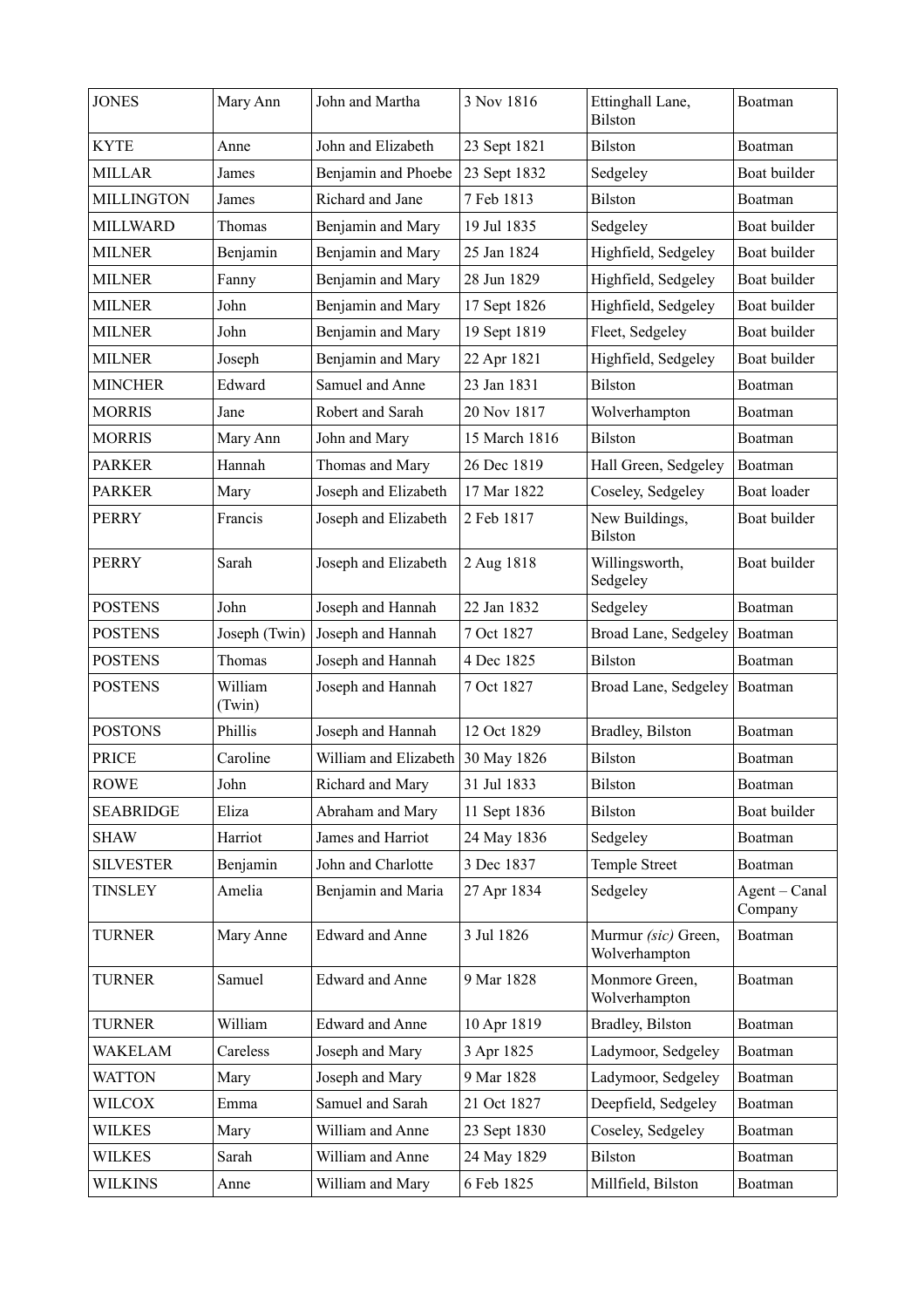| <b>JONES</b>      | Mary Ann          | John and Martha                   | 3 Nov 1816    | Ettinghall Lane,<br>Bilston          | Boatman                  |
|-------------------|-------------------|-----------------------------------|---------------|--------------------------------------|--------------------------|
| <b>KYTE</b>       | Anne              | John and Elizabeth                | 23 Sept 1821  | <b>Bilston</b>                       | Boatman                  |
| <b>MILLAR</b>     | James             | Benjamin and Phoebe               | 23 Sept 1832  | Sedgeley                             | Boat builder             |
| <b>MILLINGTON</b> | James             | Richard and Jane                  | 7 Feb 1813    | <b>Bilston</b>                       | Boatman                  |
| <b>MILLWARD</b>   | Thomas            | Benjamin and Mary                 | 19 Jul 1835   | Sedgeley                             | Boat builder             |
| <b>MILNER</b>     | Benjamin          | Benjamin and Mary                 | 25 Jan 1824   | Highfield, Sedgeley                  | Boat builder             |
| <b>MILNER</b>     | Fanny             | Benjamin and Mary                 | 28 Jun 1829   | Highfield, Sedgeley                  | Boat builder             |
| <b>MILNER</b>     | John              | Benjamin and Mary                 | 17 Sept 1826  | Highfield, Sedgeley                  | Boat builder             |
| <b>MILNER</b>     | John              | Benjamin and Mary                 | 19 Sept 1819  | Fleet, Sedgeley                      | Boat builder             |
| <b>MILNER</b>     | Joseph            | Benjamin and Mary                 | 22 Apr 1821   | Highfield, Sedgeley                  | Boat builder             |
| <b>MINCHER</b>    | Edward            | Samuel and Anne                   | 23 Jan 1831   | <b>Bilston</b>                       | Boatman                  |
| <b>MORRIS</b>     | Jane              | Robert and Sarah                  | 20 Nov 1817   | Wolverhampton                        | Boatman                  |
| <b>MORRIS</b>     | Mary Ann          | John and Mary                     | 15 March 1816 | <b>Bilston</b>                       | Boatman                  |
| <b>PARKER</b>     | Hannah            | Thomas and Mary                   | 26 Dec 1819   | Hall Green, Sedgeley                 | Boatman                  |
| <b>PARKER</b>     | Mary              | Joseph and Elizabeth              | 17 Mar 1822   | Coseley, Sedgeley                    | Boat loader              |
| <b>PERRY</b>      | Francis           | Joseph and Elizabeth              | 2 Feb 1817    | New Buildings,<br><b>Bilston</b>     | Boat builder             |
| <b>PERRY</b>      | Sarah             | Joseph and Elizabeth              | 2 Aug 1818    | Willingsworth,<br>Sedgeley           | Boat builder             |
| <b>POSTENS</b>    | John              | Joseph and Hannah                 | 22 Jan 1832   | Sedgeley                             | Boatman                  |
| <b>POSTENS</b>    | Joseph (Twin)     | Joseph and Hannah                 | 7 Oct 1827    | Broad Lane, Sedgeley                 | Boatman                  |
| <b>POSTENS</b>    | Thomas            | Joseph and Hannah                 | 4 Dec 1825    | <b>Bilston</b>                       | Boatman                  |
| <b>POSTENS</b>    | William<br>(Twin) | Joseph and Hannah                 | 7 Oct 1827    | Broad Lane, Sedgeley                 | Boatman                  |
| <b>POSTONS</b>    | Phillis           | Joseph and Hannah                 | 12 Oct 1829   | Bradley, Bilston                     | Boatman                  |
| <b>PRICE</b>      | Caroline          | William and Elizabeth 30 May 1826 |               | <b>Bilston</b>                       | Boatman                  |
| <b>ROWE</b>       | John              | Richard and Mary                  | 31 Jul 1833   | Bilston                              | Boatman                  |
| <b>SEABRIDGE</b>  | Eliza             | Abraham and Mary                  | 11 Sept 1836  | <b>Bilston</b>                       | Boat builder             |
| <b>SHAW</b>       | Harriot           | James and Harriot                 | 24 May 1836   | Sedgeley                             | Boatman                  |
| <b>SILVESTER</b>  | Benjamin          | John and Charlotte                | 3 Dec 1837    | Temple Street                        | Boatman                  |
| <b>TINSLEY</b>    | Amelia            | Benjamin and Maria                | 27 Apr 1834   | Sedgeley                             | Agent - Canal<br>Company |
| <b>TURNER</b>     | Mary Anne         | <b>Edward and Anne</b>            | 3 Jul 1826    | Murmur (sic) Green,<br>Wolverhampton | Boatman                  |
| <b>TURNER</b>     | Samuel            | <b>Edward and Anne</b>            | 9 Mar 1828    | Monmore Green,<br>Wolverhampton      | Boatman                  |
| <b>TURNER</b>     | William           | <b>Edward and Anne</b>            | 10 Apr 1819   | Bradley, Bilston                     | Boatman                  |
| <b>WAKELAM</b>    | Careless          | Joseph and Mary                   | 3 Apr 1825    | Ladymoor, Sedgeley                   | Boatman                  |
| <b>WATTON</b>     | Mary              | Joseph and Mary                   | 9 Mar 1828    | Ladymoor, Sedgeley                   | Boatman                  |
| <b>WILCOX</b>     | Emma              | Samuel and Sarah                  | 21 Oct 1827   | Deepfield, Sedgeley                  | Boatman                  |
| WILKES            | Mary              | William and Anne                  | 23 Sept 1830  | Coseley, Sedgeley                    | Boatman                  |
| WILKES            | Sarah             | William and Anne                  | 24 May 1829   | <b>Bilston</b>                       | Boatman                  |
| WILKINS           | Anne              | William and Mary                  | 6 Feb 1825    | Millfield, Bilston                   | Boatman                  |